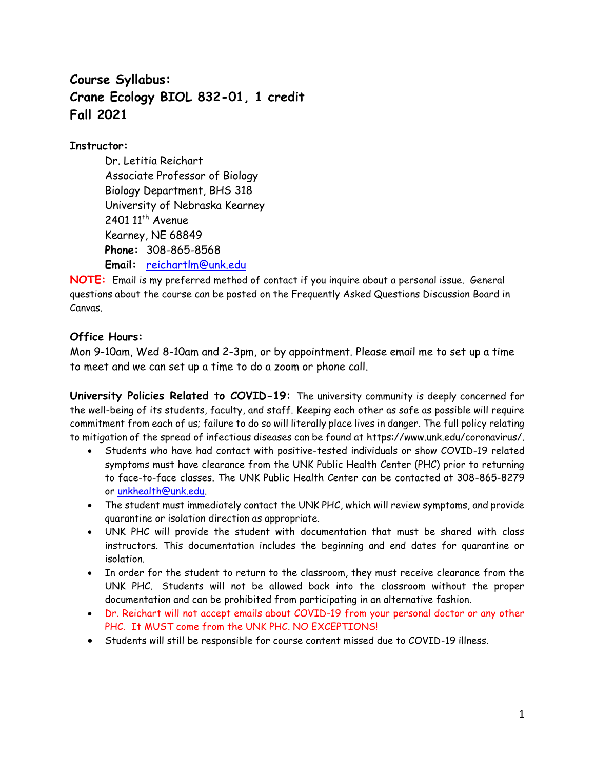# **Course Syllabus: Crane Ecology BIOL 832-01, 1 credit Fall 2021**

## **Instructor:**

Dr. Letitia Reichart Associate Professor of Biology Biology Department, BHS 318 University of Nebraska Kearney 2401 11<sup>th</sup> Avenue Kearney, NE 68849 **Phone:** 308-865-8568 **Email:** [reichartlm@unk.edu](mailto:reichartlm@unk.edu)

**NOTE:** Email is my preferred method of contact if you inquire about a personal issue. General questions about the course can be posted on the Frequently Asked Questions Discussion Board in Canvas.

# **Office Hours:**

Mon 9-10am, Wed 8-10am and 2-3pm, or by appointment. Please email me to set up a time to meet and we can set up a time to do a zoom or phone call.

**University Policies Related to COVID-19:** The university community is deeply concerned for the well-being of its students, faculty, and staff. Keeping each other as safe as possible will require commitment from each of us; failure to do so will literally place lives in danger. The full policy relating to mitigation of the spread of infectious diseases can be found at [https://www.unk.edu/coronavirus/.](https://www.unk.edu/coronavirus/)

- Students who have had contact with positive-tested individuals or show COVID-19 related symptoms must have clearance from the UNK Public Health Center (PHC) prior to returning to face-to-face classes. The UNK Public Health Center can be contacted at 308-865-8279 or [unkhealth@unk.edu.](mailto:unkhealth@unk.edu)
- The student must immediately contact the UNK PHC, which will review symptoms, and provide quarantine or isolation direction as appropriate.
- UNK PHC will provide the student with documentation that must be shared with class instructors. This documentation includes the beginning and end dates for quarantine or isolation.
- In order for the student to return to the classroom, they must receive clearance from the UNK PHC. Students will not be allowed back into the classroom without the proper documentation and can be prohibited from participating in an alternative fashion.
- Dr. Reichart will not accept emails about COVID-19 from your personal doctor or any other PHC. It MUST come from the UNK PHC. NO EXCEPTIONS!
- Students will still be responsible for course content missed due to COVID-19 illness.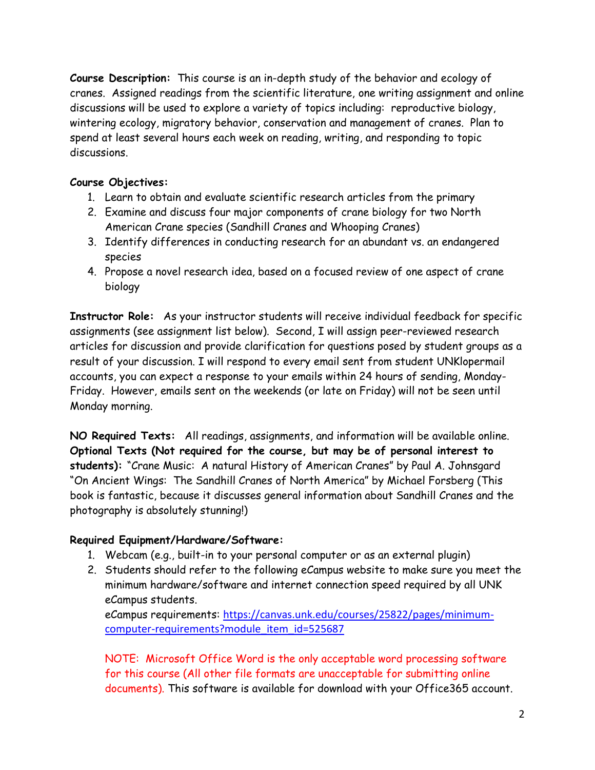**Course Description:** This course is an in-depth study of the behavior and ecology of cranes. Assigned readings from the scientific literature, one writing assignment and online discussions will be used to explore a variety of topics including: reproductive biology, wintering ecology, migratory behavior, conservation and management of cranes. Plan to spend at least several hours each week on reading, writing, and responding to topic discussions.

# **Course Objectives:**

- 1. Learn to obtain and evaluate scientific research articles from the primary
- 2. Examine and discuss four major components of crane biology for two North American Crane species (Sandhill Cranes and Whooping Cranes)
- 3. Identify differences in conducting research for an abundant vs. an endangered species
- 4. Propose a novel research idea, based on a focused review of one aspect of crane biology

**Instructor Role:** As your instructor students will receive individual feedback for specific assignments (see assignment list below). Second, I will assign peer-reviewed research articles for discussion and provide clarification for questions posed by student groups as a result of your discussion. I will respond to every email sent from student UNKlopermail accounts, you can expect a response to your emails within 24 hours of sending, Monday-Friday. However, emails sent on the weekends (or late on Friday) will not be seen until Monday morning.

**NO Required Texts:** All readings, assignments, and information will be available online. **Optional Texts (Not required for the course, but may be of personal interest to students):** "Crane Music: A natural History of American Cranes" by Paul A. Johnsgard "On Ancient Wings: The Sandhill Cranes of North America" by Michael Forsberg (This book is fantastic, because it discusses general information about Sandhill Cranes and the photography is absolutely stunning!)

# **Required Equipment/Hardware/Software:**

- 1. Webcam (e.g., built-in to your personal computer or as an external plugin)
- 2. Students should refer to the following eCampus website to make sure you meet the minimum hardware/software and internet connection speed required by all UNK eCampus students.

eCampus requirements: [https://canvas.unk.edu/courses/25822/pages/minimum](https://canvas.unk.edu/courses/25822/pages/minimum-computer-requirements?module_item_id=525687)[computer-requirements?module\\_item\\_id=525687](https://canvas.unk.edu/courses/25822/pages/minimum-computer-requirements?module_item_id=525687)

NOTE: Microsoft Office Word is the only acceptable word processing software for this course (All other file formats are unacceptable for submitting online documents). This software is available for download with your Office365 account.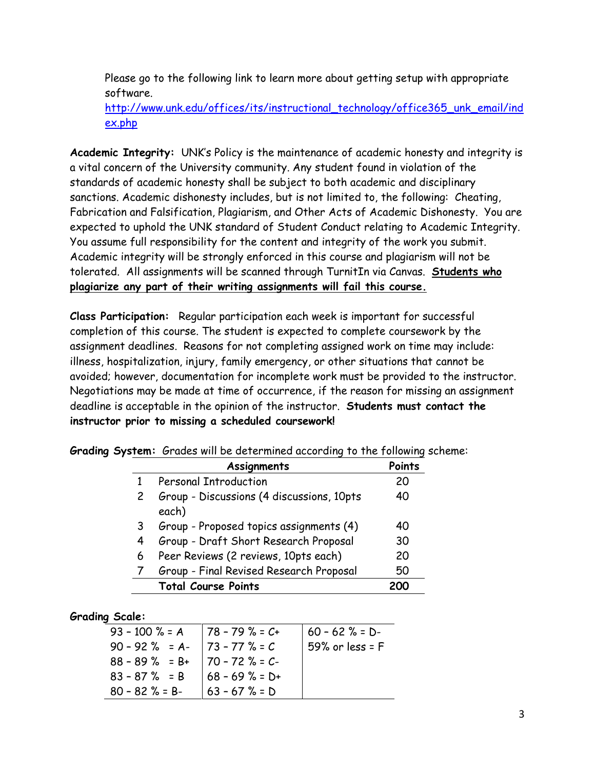Please go to the following link to learn more about getting setup with appropriate software.

[http://www.unk.edu/offices/its/instructional\\_technology/office365\\_unk\\_email/ind](http://www.unk.edu/offices/its/instructional_technology/office365_unk_email/index.php) [ex.php](http://www.unk.edu/offices/its/instructional_technology/office365_unk_email/index.php)

**Academic Integrity:** UNK's Policy is the maintenance of academic honesty and integrity is a vital concern of the University community. Any student found in violation of the standards of academic honesty shall be subject to both academic and disciplinary sanctions. Academic dishonesty includes, but is not limited to, the following: Cheating, Fabrication and Falsification, Plagiarism, and Other Acts of Academic Dishonesty. You are expected to uphold the UNK standard of Student Conduct relating to Academic Integrity. You assume full responsibility for the content and integrity of the work you submit. Academic integrity will be strongly enforced in this course and plagiarism will not be tolerated. All assignments will be scanned through TurnitIn via Canvas. **Students who plagiarize any part of their writing assignments will fail this course.**

**Class Participation:** Regular participation each week is important for successful completion of this course. The student is expected to complete coursework by the assignment deadlines. Reasons for not completing assigned work on time may include: illness, hospitalization, injury, family emergency, or other situations that cannot be avoided; however, documentation for incomplete work must be provided to the instructor. Negotiations may be made at time of occurrence, if the reason for missing an assignment deadline is acceptable in the opinion of the instructor. **Students must contact the instructor prior to missing a scheduled coursework!**

|              | Assignments                                        | Points |
|--------------|----------------------------------------------------|--------|
| $\mathbf{1}$ | <b>Personal Introduction</b>                       | 20     |
|              | Group - Discussions (4 discussions, 10pts<br>each) | 40     |
| 3            | Group - Proposed topics assignments (4)            | 40     |
| 4            | Group - Draft Short Research Proposal              | 30     |
| 6            | Peer Reviews (2 reviews, 10pts each)               | 20     |
|              | Group - Final Revised Research Proposal            | 50     |
|              | <b>Total Course Points</b>                         |        |

**Grading System:** Grades will be determined according to the following scheme:

### **Grading Scale:**

| $93 - 100$ % = A   78 - 79 % = C+ |                    | $160 - 62$ % = D- |
|-----------------------------------|--------------------|-------------------|
| $90 - 92\% = A - 73 - 77\% = C$   |                    | 59% or less = $F$ |
| $88 - 89$ % = B+   70 - 72 % = C- |                    |                   |
| $83 - 87 \% = B$                  | $168 - 69 \% = D+$ |                   |
| $80 - 82$ % = B-                  | $ 63 - 67 \% = D$  |                   |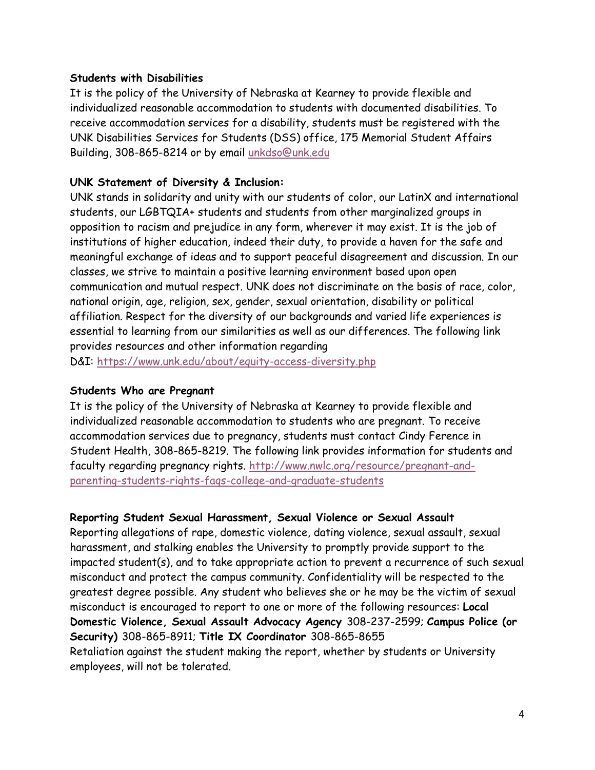#### **Students with Disabilities**

It is the policy of the University of Nebraska at Kearney to provide flexible and individualized reasonable accommodation to students with documented disabilities. To receive accommodation services for a disability, students must be registered with the UNK Disabilities Services for Students (DSS) office, 175 Memorial Student Affairs Building, 308-865-8214 or by email [unkdso@unk.edu](mailto:unkdso@unk.edu)

### **UNK Statement of Diversity & Inclusion:**

UNK stands in solidarity and unity with our students of color, our LatinX and international students, our LGBTQIA+ students and students from other marginalized groups in opposition to racism and prejudice in any form, wherever it may exist. It is the job of institutions of higher education, indeed their duty, to provide a haven for the safe and meaningful exchange of ideas and to support peaceful disagreement and discussion. In our classes, we strive to maintain a positive learning environment based upon open communication and mutual respect. UNK does not discriminate on the basis of race, color, national origin, age, religion, sex, gender, sexual orientation, disability or political affiliation. Respect for the diversity of our backgrounds and varied life experiences is essential to learning from our similarities as well as our differences. The following link provides resources and other information regarding

D&I: <https://www.unk.edu/about/equity-access-diversity.php>

#### **Students Who are Pregnant**

It is the policy of the University of Nebraska at Kearney to provide flexible and individualized reasonable accommodation to students who are pregnant. To receive accommodation services due to pregnancy, students must contact Cindy Ference in Student Health, 308-865-8219. The following link provides information for students and faculty regarding pregnancy rights. [http://www.nwlc.org/resource/pregnant-and](https://urldefense.proofpoint.com/v2/url?u=http-3A__www.nwlc.org_resource_pregnant-2Dand-2Dparenting-2Dstudents-2Drights-2Dfaqs-2Dcollege-2Dand-2Dgraduate-2Dstudents&d=DwMFAg&c=Cu5g146wZdoqVuKpTNsYHeFX_rg6kWhlkLF8Eft-wwo&r=BJkIhAaMtWY7PlqIhIOyVw&m=RgBL3s2VNHfvD5ReMK2q_PhwYU8dbEt1vxs1BO4WkpQ&s=MmB91XAzaW-E7UPMXPGx9tWJQbTWJYyYzM8gLjhEzQ0&e=)[parenting-students-rights-faqs-college-and-graduate-students](https://urldefense.proofpoint.com/v2/url?u=http-3A__www.nwlc.org_resource_pregnant-2Dand-2Dparenting-2Dstudents-2Drights-2Dfaqs-2Dcollege-2Dand-2Dgraduate-2Dstudents&d=DwMFAg&c=Cu5g146wZdoqVuKpTNsYHeFX_rg6kWhlkLF8Eft-wwo&r=BJkIhAaMtWY7PlqIhIOyVw&m=RgBL3s2VNHfvD5ReMK2q_PhwYU8dbEt1vxs1BO4WkpQ&s=MmB91XAzaW-E7UPMXPGx9tWJQbTWJYyYzM8gLjhEzQ0&e=)

#### **Reporting Student Sexual Harassment, Sexual Violence or Sexual Assault**

Reporting allegations of rape, domestic violence, dating violence, sexual assault, sexual harassment, and stalking enables the University to promptly provide support to the impacted student(s), and to take appropriate action to prevent a recurrence of such sexual misconduct and protect the campus community. Confidentiality will be respected to the greatest degree possible. Any student who believes she or he may be the victim of sexual misconduct is encouraged to report to one or more of the following resources: **Local Domestic Violence, Sexual Assault Advocacy Agency** 308-237-2599; **Campus Police (or Security)** 308-865-8911; **Title IX Coordinator** 308-865-8655 Retaliation against the student making the report, whether by students or University employees, will not be tolerated.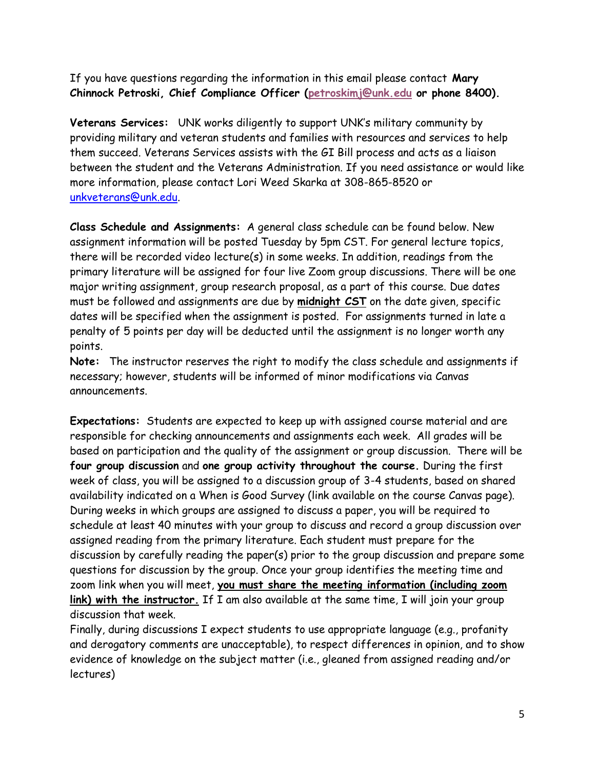If you have questions regarding the information in this email please contact **Mary Chinnock Petroski, Chief Compliance Officer [\(petroskimj@unk.edu](mailto:petroskimj@unk.edu) or phone 8400).**

**Veterans Services:** UNK works diligently to support UNK's military community by providing military and veteran students and families with resources and services to help them succeed. Veterans Services assists with the GI Bill process and acts as a liaison between the student and the Veterans Administration. If you need assistance or would like more information, please contact Lori Weed Skarka at 308-865-8520 or [unkveterans@unk.edu.](mailto:unkveterans@unk.edu)

**Class Schedule and Assignments:** A general class schedule can be found below. New assignment information will be posted Tuesday by 5pm CST. For general lecture topics, there will be recorded video lecture(s) in some weeks. In addition, readings from the primary literature will be assigned for four live Zoom group discussions. There will be one major writing assignment, group research proposal, as a part of this course. Due dates must be followed and assignments are due by **midnight CST** on the date given, specific dates will be specified when the assignment is posted. For assignments turned in late a penalty of 5 points per day will be deducted until the assignment is no longer worth any points.

**Note:** The instructor reserves the right to modify the class schedule and assignments if necessary; however, students will be informed of minor modifications via Canvas announcements.

**Expectations:** Students are expected to keep up with assigned course material and are responsible for checking announcements and assignments each week. All grades will be based on participation and the quality of the assignment or group discussion. There will be **four group discussion** and **one group activity throughout the course.** During the first week of class, you will be assigned to a discussion group of 3-4 students, based on shared availability indicated on a When is Good Survey (link available on the course Canvas page). During weeks in which groups are assigned to discuss a paper, you will be required to schedule at least 40 minutes with your group to discuss and record a group discussion over assigned reading from the primary literature. Each student must prepare for the discussion by carefully reading the paper(s) prior to the group discussion and prepare some questions for discussion by the group. Once your group identifies the meeting time and zoom link when you will meet, **you must share the meeting information (including zoom link) with the instructor.** If I am also available at the same time, I will join your group discussion that week.

Finally, during discussions I expect students to use appropriate language (e.g., profanity and derogatory comments are unacceptable), to respect differences in opinion, and to show evidence of knowledge on the subject matter (i.e., gleaned from assigned reading and/or lectures)